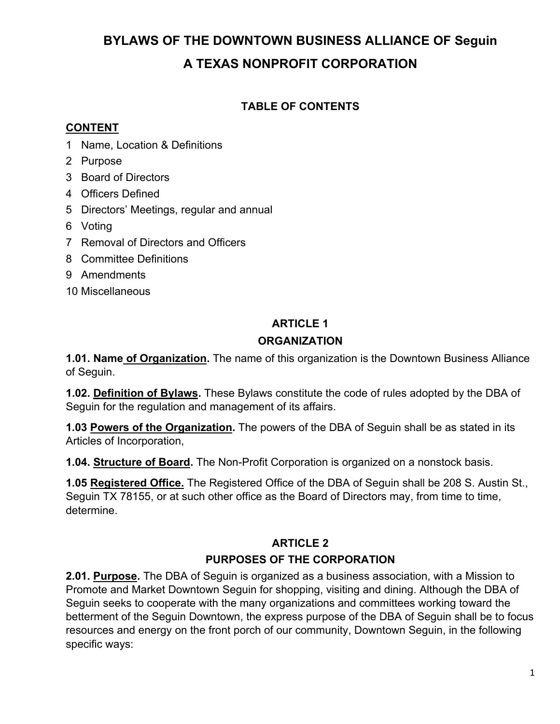# **BYLAWS OF THE DOWNTOWN BUSINESS ALLIANCE OF Seguin A TEXAS NONPROFIT CORPORATION**

#### **TABLE OF CONTENTS**

#### **CONTENT**

- 1 Name, Location & Definitions
- 2 Purpose
- 3 Board of Directors
- 4 Officers Defined
- 5 Directors' Meetings, regular and annual
- 6 Voting
- 7 Removal of Directors and Officers
- 8 Committee Definitions
- 9 Amendments
- 10 Miscellaneous

### **ARTICLE 1**

#### **ORGANIZATION**

**1.01. Name of Organization.** The name of this organization is the Downtown Business Alliance of Seguin.

**1.02. Definition of Bylaws.** These Bylaws constitute the code of rules adopted by the DBA of Seguin for the regulation and management of its affairs.

**1.03 Powers of the Organization.** The powers of the DBA of Seguin shall be as stated in its Articles of Incorporation,

**1.04. Structure of Board.** The Non-Profit Corporation is organized on a nonstock basis.

**1.05 Registered Office.** The Registered Office of the DBA of Seguin shall be 208 S. Austin St., Seguin TX 78155, or at such other office as the Board of Directors may, from time to time, determine.

# **ARTICLE 2 PURPOSES OF THE CORPORATION**

**2.01. Purpose.** The DBA of Seguin is organized as a business association, with a Mission to Promote and Market Downtown Seguin for shopping, visiting and dining. Although the DBA of Seguin seeks to cooperate with the many organizations and committees working toward the betterment of the Seguin Downtown, the express purpose of the DBA of Seguin shall be to focus resources and energy on the front porch of our community, Downtown Seguin, in the following specific ways: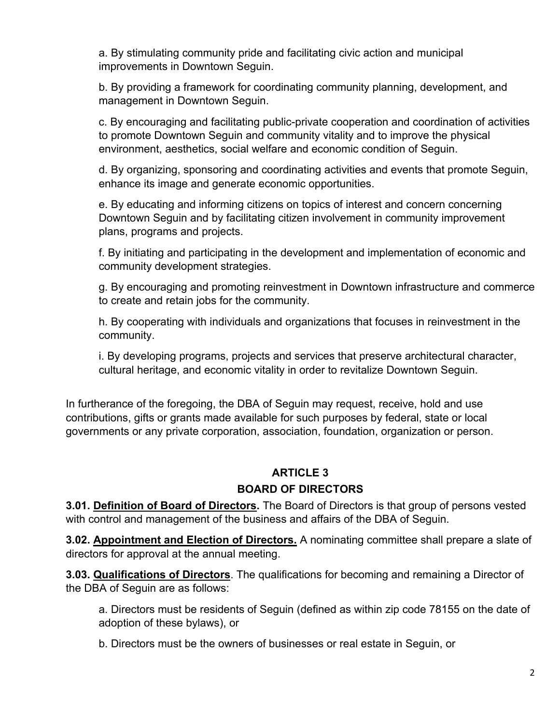a. By stimulating community pride and facilitating civic action and municipal improvements in Downtown Seguin.

b. By providing a framework for coordinating community planning, development, and management in Downtown Seguin.

c. By encouraging and facilitating public-private cooperation and coordination of activities to promote Downtown Seguin and community vitality and to improve the physical environment, aesthetics, social welfare and economic condition of Seguin.

d. By organizing, sponsoring and coordinating activities and events that promote Seguin, enhance its image and generate economic opportunities.

e. By educating and informing citizens on topics of interest and concern concerning Downtown Seguin and by facilitating citizen involvement in community improvement plans, programs and projects.

f. By initiating and participating in the development and implementation of economic and community development strategies.

g. By encouraging and promoting reinvestment in Downtown infrastructure and commerce to create and retain jobs for the community.

h. By cooperating with individuals and organizations that focuses in reinvestment in the community.

i. By developing programs, projects and services that preserve architectural character, cultural heritage, and economic vitality in order to revitalize Downtown Seguin.

In furtherance of the foregoing, the DBA of Seguin may request, receive, hold and use contributions, gifts or grants made available for such purposes by federal, state or local governments or any private corporation, association, foundation, organization or person.

#### **ARTICLE 3 BOARD OF DIRECTORS**

**3.01. Definition of Board of Directors.** The Board of Directors is that group of persons vested with control and management of the business and affairs of the DBA of Seguin.

**3.02. Appointment and Election of Directors.** A nominating committee shall prepare a slate of directors for approval at the annual meeting.

**3.03. Qualifications of Directors**. The qualifications for becoming and remaining a Director of the DBA of Seguin are as follows:

a. Directors must be residents of Seguin (defined as within zip code 78155 on the date of adoption of these bylaws), or

b. Directors must be the owners of businesses or real estate in Seguin, or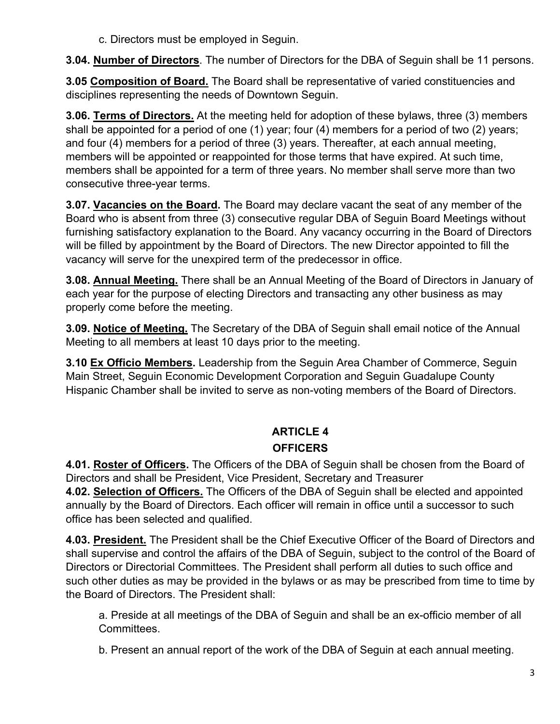c. Directors must be employed in Seguin.

**3.04. Number of Directors**. The number of Directors for the DBA of Seguin shall be 11 persons.

**3.05 Composition of Board.** The Board shall be representative of varied constituencies and disciplines representing the needs of Downtown Seguin.

**3.06. Terms of Directors.** At the meeting held for adoption of these bylaws, three (3) members shall be appointed for a period of one (1) year; four (4) members for a period of two (2) years; and four (4) members for a period of three (3) years. Thereafter, at each annual meeting, members will be appointed or reappointed for those terms that have expired. At such time, members shall be appointed for a term of three years. No member shall serve more than two consecutive three-year terms.

**3.07. Vacancies on the Board.** The Board may declare vacant the seat of any member of the Board who is absent from three (3) consecutive regular DBA of Seguin Board Meetings without furnishing satisfactory explanation to the Board. Any vacancy occurring in the Board of Directors will be filled by appointment by the Board of Directors. The new Director appointed to fill the vacancy will serve for the unexpired term of the predecessor in office.

**3.08. Annual Meeting.** There shall be an Annual Meeting of the Board of Directors in January of each year for the purpose of electing Directors and transacting any other business as may properly come before the meeting.

**3.09. Notice of Meeting.** The Secretary of the DBA of Seguin shall email notice of the Annual Meeting to all members at least 10 days prior to the meeting.

**3.10 Ex Officio Members.** Leadership from the Seguin Area Chamber of Commerce, Seguin Main Street, Seguin Economic Development Corporation and Seguin Guadalupe County Hispanic Chamber shall be invited to serve as non-voting members of the Board of Directors.

### **ARTICLE 4 OFFICERS**

**4.01. Roster of Officers.** The Officers of the DBA of Seguin shall be chosen from the Board of Directors and shall be President, Vice President, Secretary and Treasurer **4.02. Selection of Officers.** The Officers of the DBA of Seguin shall be elected and appointed annually by the Board of Directors. Each officer will remain in office until a successor to such office has been selected and qualified.

**4.03. President.** The President shall be the Chief Executive Officer of the Board of Directors and shall supervise and control the affairs of the DBA of Seguin, subject to the control of the Board of Directors or Directorial Committees. The President shall perform all duties to such office and such other duties as may be provided in the bylaws or as may be prescribed from time to time by the Board of Directors. The President shall:

a. Preside at all meetings of the DBA of Seguin and shall be an ex-officio member of all Committees.

b. Present an annual report of the work of the DBA of Seguin at each annual meeting.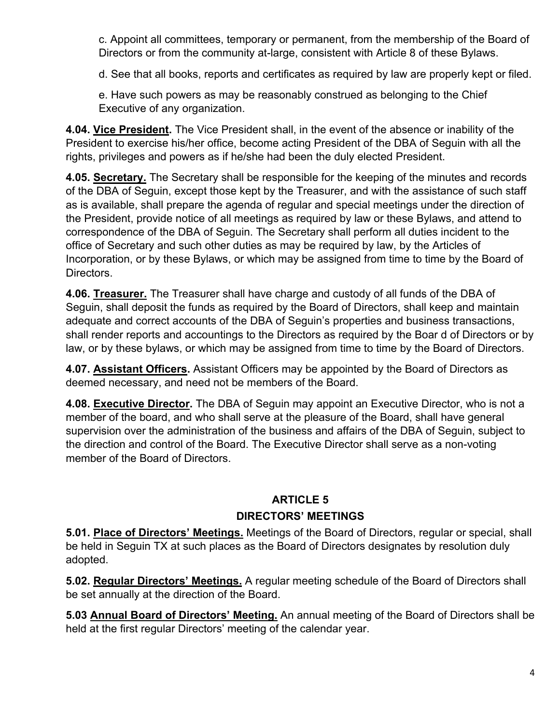c. Appoint all committees, temporary or permanent, from the membership of the Board of Directors or from the community at-large, consistent with Article 8 of these Bylaws.

d. See that all books, reports and certificates as required by law are properly kept or filed.

e. Have such powers as may be reasonably construed as belonging to the Chief Executive of any organization.

**4.04. Vice President.** The Vice President shall, in the event of the absence or inability of the President to exercise his/her office, become acting President of the DBA of Seguin with all the rights, privileges and powers as if he/she had been the duly elected President.

**4.05. Secretary.** The Secretary shall be responsible for the keeping of the minutes and records of the DBA of Seguin, except those kept by the Treasurer, and with the assistance of such staff as is available, shall prepare the agenda of regular and special meetings under the direction of the President, provide notice of all meetings as required by law or these Bylaws, and attend to correspondence of the DBA of Seguin. The Secretary shall perform all duties incident to the office of Secretary and such other duties as may be required by law, by the Articles of Incorporation, or by these Bylaws, or which may be assigned from time to time by the Board of Directors.

**4.06. Treasurer.** The Treasurer shall have charge and custody of all funds of the DBA of Seguin, shall deposit the funds as required by the Board of Directors, shall keep and maintain adequate and correct accounts of the DBA of Seguin's properties and business transactions, shall render reports and accountings to the Directors as required by the Boar d of Directors or by law, or by these bylaws, or which may be assigned from time to time by the Board of Directors.

**4.07. Assistant Officers.** Assistant Officers may be appointed by the Board of Directors as deemed necessary, and need not be members of the Board.

**4.08. Executive Director.** The DBA of Seguin may appoint an Executive Director, who is not a member of the board, and who shall serve at the pleasure of the Board, shall have general supervision over the administration of the business and affairs of the DBA of Seguin, subject to the direction and control of the Board. The Executive Director shall serve as a non-voting member of the Board of Directors.

# **ARTICLE 5 DIRECTORS' MEETINGS**

**5.01. Place of Directors' Meetings.** Meetings of the Board of Directors, regular or special, shall be held in Seguin TX at such places as the Board of Directors designates by resolution duly adopted.

**5.02. Regular Directors' Meetings.** A regular meeting schedule of the Board of Directors shall be set annually at the direction of the Board.

**5.03 Annual Board of Directors' Meeting.** An annual meeting of the Board of Directors shall be held at the first regular Directors' meeting of the calendar year.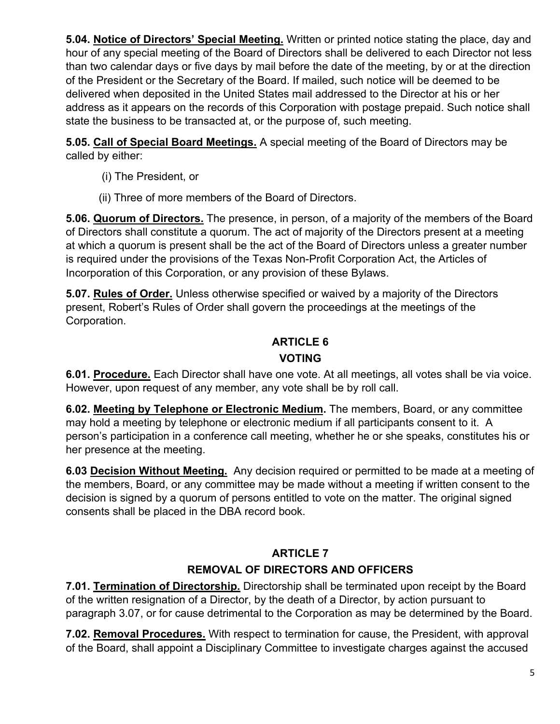**5.04. Notice of Directors' Special Meeting.** Written or printed notice stating the place, day and hour of any special meeting of the Board of Directors shall be delivered to each Director not less than two calendar days or five days by mail before the date of the meeting, by or at the direction of the President or the Secretary of the Board. If mailed, such notice will be deemed to be delivered when deposited in the United States mail addressed to the Director at his or her address as it appears on the records of this Corporation with postage prepaid. Such notice shall state the business to be transacted at, or the purpose of, such meeting.

**5.05. Call of Special Board Meetings.** A special meeting of the Board of Directors may be called by either:

- (i) The President, or
- (ii) Three of more members of the Board of Directors.

**5.06. Quorum of Directors.** The presence, in person, of a majority of the members of the Board of Directors shall constitute a quorum. The act of majority of the Directors present at a meeting at which a quorum is present shall be the act of the Board of Directors unless a greater number is required under the provisions of the Texas Non-Profit Corporation Act, the Articles of Incorporation of this Corporation, or any provision of these Bylaws.

**5.07. Rules of Order.** Unless otherwise specified or waived by a majority of the Directors present, Robert's Rules of Order shall govern the proceedings at the meetings of the Corporation.

## **ARTICLE 6 VOTING**

**6.01. Procedure.** Each Director shall have one vote. At all meetings, all votes shall be via voice. However, upon request of any member, any vote shall be by roll call.

**6.02. Meeting by Telephone or Electronic Medium.** The members, Board, or any committee may hold a meeting by telephone or electronic medium if all participants consent to it. A person's participation in a conference call meeting, whether he or she speaks, constitutes his or her presence at the meeting.

**6.03 Decision Without Meeting.** Any decision required or permitted to be made at a meeting of the members, Board, or any committee may be made without a meeting if written consent to the decision is signed by a quorum of persons entitled to vote on the matter. The original signed consents shall be placed in the DBA record book.

#### **ARTICLE 7**

# **REMOVAL OF DIRECTORS AND OFFICERS**

**7.01. Termination of Directorship.** Directorship shall be terminated upon receipt by the Board of the written resignation of a Director, by the death of a Director, by action pursuant to paragraph 3.07, or for cause detrimental to the Corporation as may be determined by the Board.

**7.02. Removal Procedures.** With respect to termination for cause, the President, with approval of the Board, shall appoint a Disciplinary Committee to investigate charges against the accused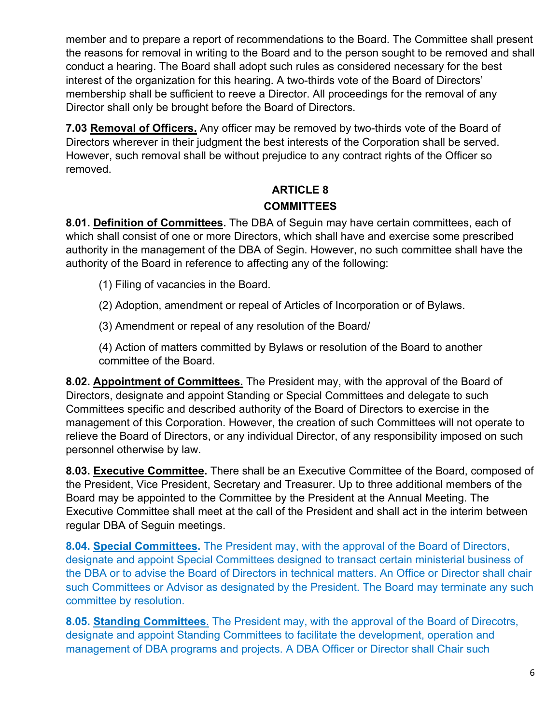member and to prepare a report of recommendations to the Board. The Committee shall present the reasons for removal in writing to the Board and to the person sought to be removed and shall conduct a hearing. The Board shall adopt such rules as considered necessary for the best interest of the organization for this hearing. A two-thirds vote of the Board of Directors' membership shall be sufficient to reeve a Director. All proceedings for the removal of any Director shall only be brought before the Board of Directors.

**7.03 Removal of Officers.** Any officer may be removed by two-thirds vote of the Board of Directors wherever in their judgment the best interests of the Corporation shall be served. However, such removal shall be without prejudice to any contract rights of the Officer so removed.

## **ARTICLE 8 COMMITTEES**

**8.01. Definition of Committees.** The DBA of Seguin may have certain committees, each of which shall consist of one or more Directors, which shall have and exercise some prescribed authority in the management of the DBA of Segin. However, no such committee shall have the authority of the Board in reference to affecting any of the following:

(1) Filing of vacancies in the Board.

(2) Adoption, amendment or repeal of Articles of Incorporation or of Bylaws.

(3) Amendment or repeal of any resolution of the Board/

(4) Action of matters committed by Bylaws or resolution of the Board to another committee of the Board.

**8.02. Appointment of Committees.** The President may, with the approval of the Board of Directors, designate and appoint Standing or Special Committees and delegate to such Committees specific and described authority of the Board of Directors to exercise in the management of this Corporation. However, the creation of such Committees will not operate to relieve the Board of Directors, or any individual Director, of any responsibility imposed on such personnel otherwise by law.

**8.03. Executive Committee.** There shall be an Executive Committee of the Board, composed of the President, Vice President, Secretary and Treasurer. Up to three additional members of the Board may be appointed to the Committee by the President at the Annual Meeting. The Executive Committee shall meet at the call of the President and shall act in the interim between regular DBA of Seguin meetings.

**8.04. Special Committees.** The President may, with the approval of the Board of Directors, designate and appoint Special Committees designed to transact certain ministerial business of the DBA or to advise the Board of Directors in technical matters. An Office or Director shall chair such Committees or Advisor as designated by the President. The Board may terminate any such committee by resolution.

**8.05. Standing Committees**. The President may, with the approval of the Board of Direcotrs, designate and appoint Standing Committees to facilitate the development, operation and management of DBA programs and projects. A DBA Officer or Director shall Chair such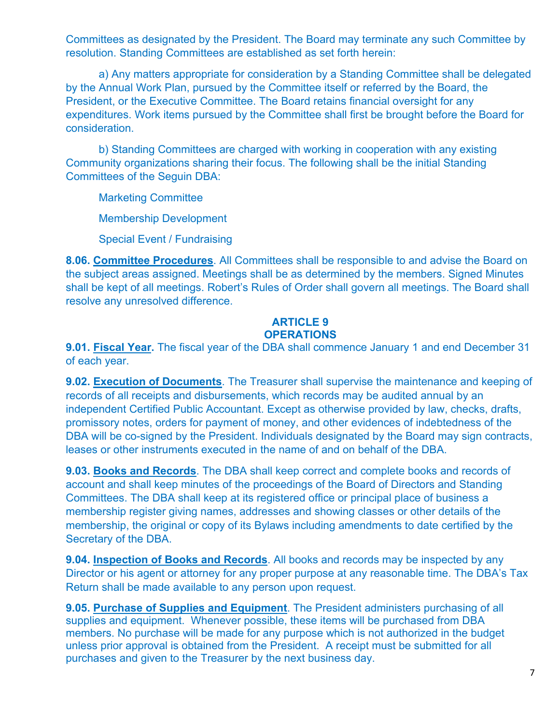Committees as designated by the President. The Board may terminate any such Committee by resolution. Standing Committees are established as set forth herein:

 a) Any matters appropriate for consideration by a Standing Committee shall be delegated by the Annual Work Plan, pursued by the Committee itself or referred by the Board, the President, or the Executive Committee. The Board retains financial oversight for any expenditures. Work items pursued by the Committee shall first be brought before the Board for consideration.

 b) Standing Committees are charged with working in cooperation with any existing Community organizations sharing their focus. The following shall be the initial Standing Committees of the Seguin DBA:

Marketing Committee

Membership Development

Special Event / Fundraising

**8.06. Committee Procedures**. All Committees shall be responsible to and advise the Board on the subject areas assigned. Meetings shall be as determined by the members. Signed Minutes shall be kept of all meetings. Robert's Rules of Order shall govern all meetings. The Board shall resolve any unresolved difference.

#### **ARTICLE 9 OPERATIONS**

**9.01. Fiscal Year.** The fiscal year of the DBA shall commence January 1 and end December 31 of each year.

**9.02. Execution of Documents**. The Treasurer shall supervise the maintenance and keeping of records of all receipts and disbursements, which records may be audited annual by an independent Certified Public Accountant. Except as otherwise provided by law, checks, drafts, promissory notes, orders for payment of money, and other evidences of indebtedness of the DBA will be co-signed by the President. Individuals designated by the Board may sign contracts, leases or other instruments executed in the name of and on behalf of the DBA.

**9.03. Books and Records**. The DBA shall keep correct and complete books and records of account and shall keep minutes of the proceedings of the Board of Directors and Standing Committees. The DBA shall keep at its registered office or principal place of business a membership register giving names, addresses and showing classes or other details of the membership, the original or copy of its Bylaws including amendments to date certified by the Secretary of the DBA.

**9.04. Inspection of Books and Records**. All books and records may be inspected by any Director or his agent or attorney for any proper purpose at any reasonable time. The DBA's Tax Return shall be made available to any person upon request.

**9.05. Purchase of Supplies and Equipment**. The President administers purchasing of all supplies and equipment. Whenever possible, these items will be purchased from DBA members. No purchase will be made for any purpose which is not authorized in the budget unless prior approval is obtained from the President. A receipt must be submitted for all purchases and given to the Treasurer by the next business day.